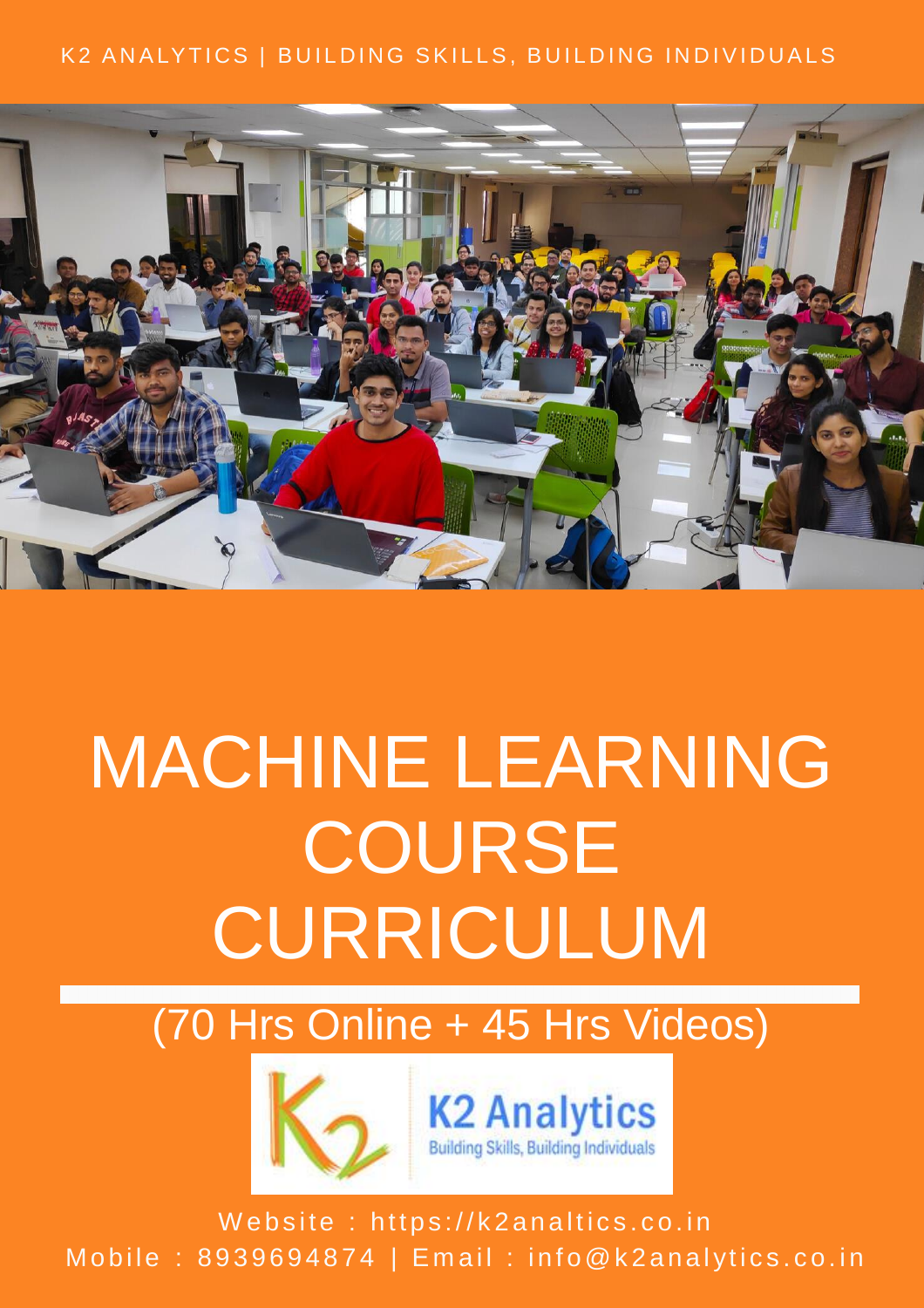#### K2 ANALYTICS | BUILDING SKILLS, BUILDING INDIVIDUALS



# MACHINE LEARNING **COURSE** CURRICULUM

(70 Hrs Online + 45 Hrs Videos)





Website : https://k2analtics.co.in Mobile : 8939694874 | Email : info@k2analytics.co.in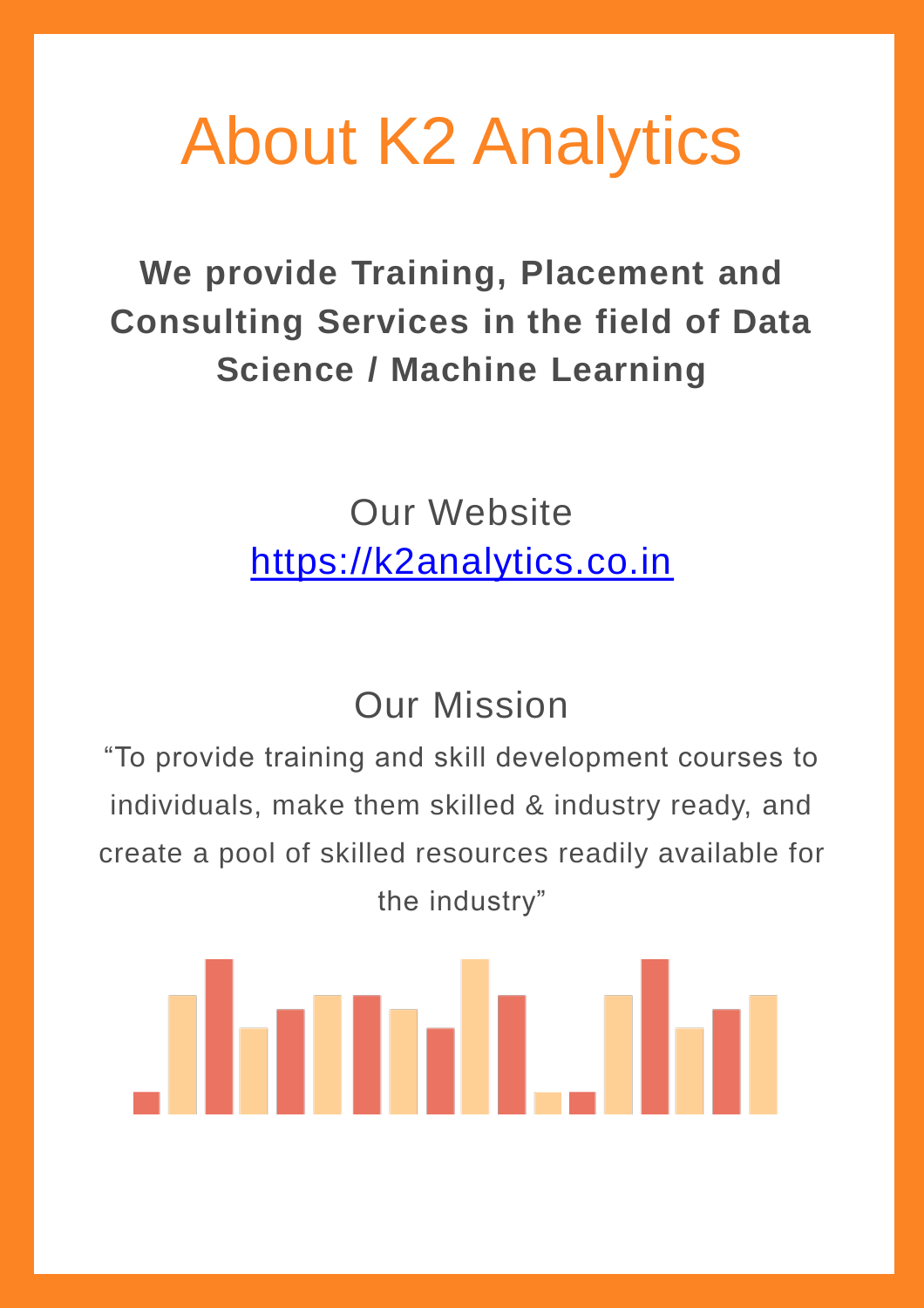## About K2 Analytics

**We provide Training, Placement and Consulting Services in the field of Data Science / Machine Learning**

> Our Website [https://k2analytics.co.in](https://k2analytics.in/blog)

#### Our Mission

"To provide training and skill development courses to individuals, make them skilled & industry ready, and create a pool of skilled resources readily available for the industry"

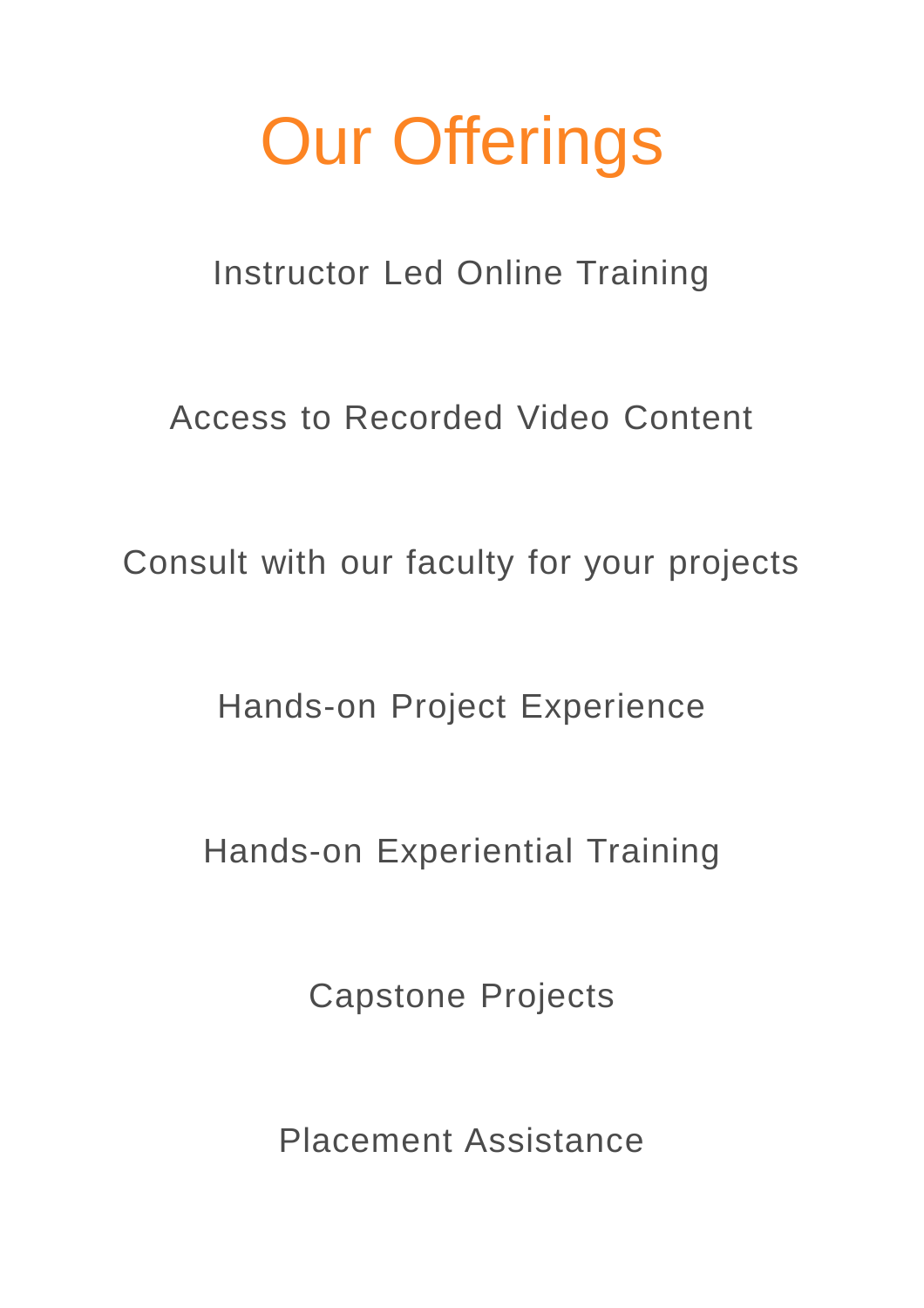# Our Offerings

Instructor Led Online Training

Access to Recorded Video Content

Consult with our faculty for your projects

Hands-on Project Experience

Hands-on Experiential Training

Capstone Projects

Placement Assistance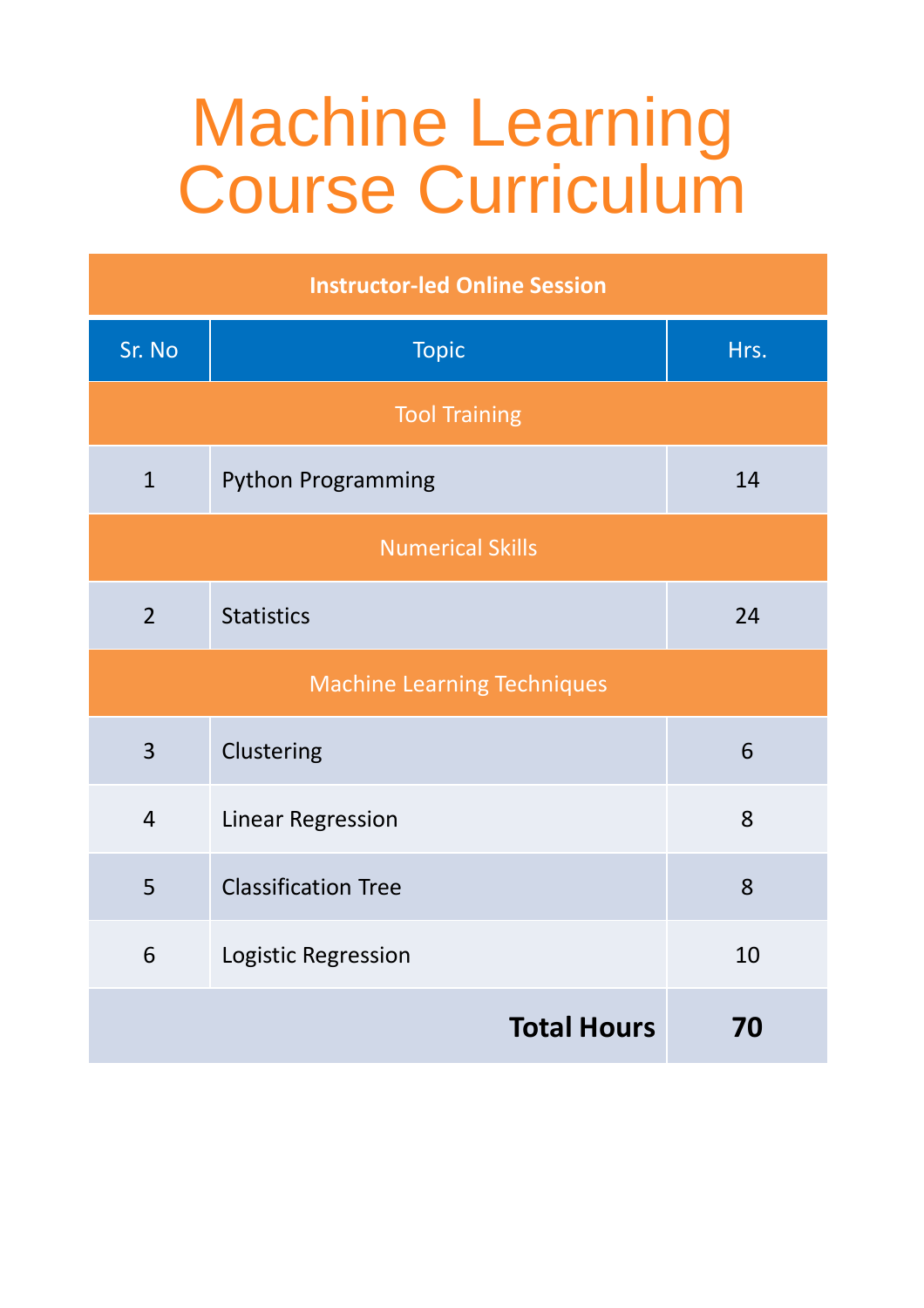## Machine Learning Course Curriculum

| <b>Instructor-led Online Session</b> |                            |      |  |
|--------------------------------------|----------------------------|------|--|
| Sr. No                               | <b>Topic</b>               | Hrs. |  |
| <b>Tool Training</b>                 |                            |      |  |
| $\mathbf{1}$                         | <b>Python Programming</b>  | 14   |  |
| <b>Numerical Skills</b>              |                            |      |  |
| $\overline{2}$                       | <b>Statistics</b>          | 24   |  |
| <b>Machine Learning Techniques</b>   |                            |      |  |
| $\overline{3}$                       | Clustering                 | 6    |  |
| $\overline{4}$                       | <b>Linear Regression</b>   | 8    |  |
| 5                                    | <b>Classification Tree</b> | 8    |  |
| 6                                    | Logistic Regression        | 10   |  |
|                                      | 70                         |      |  |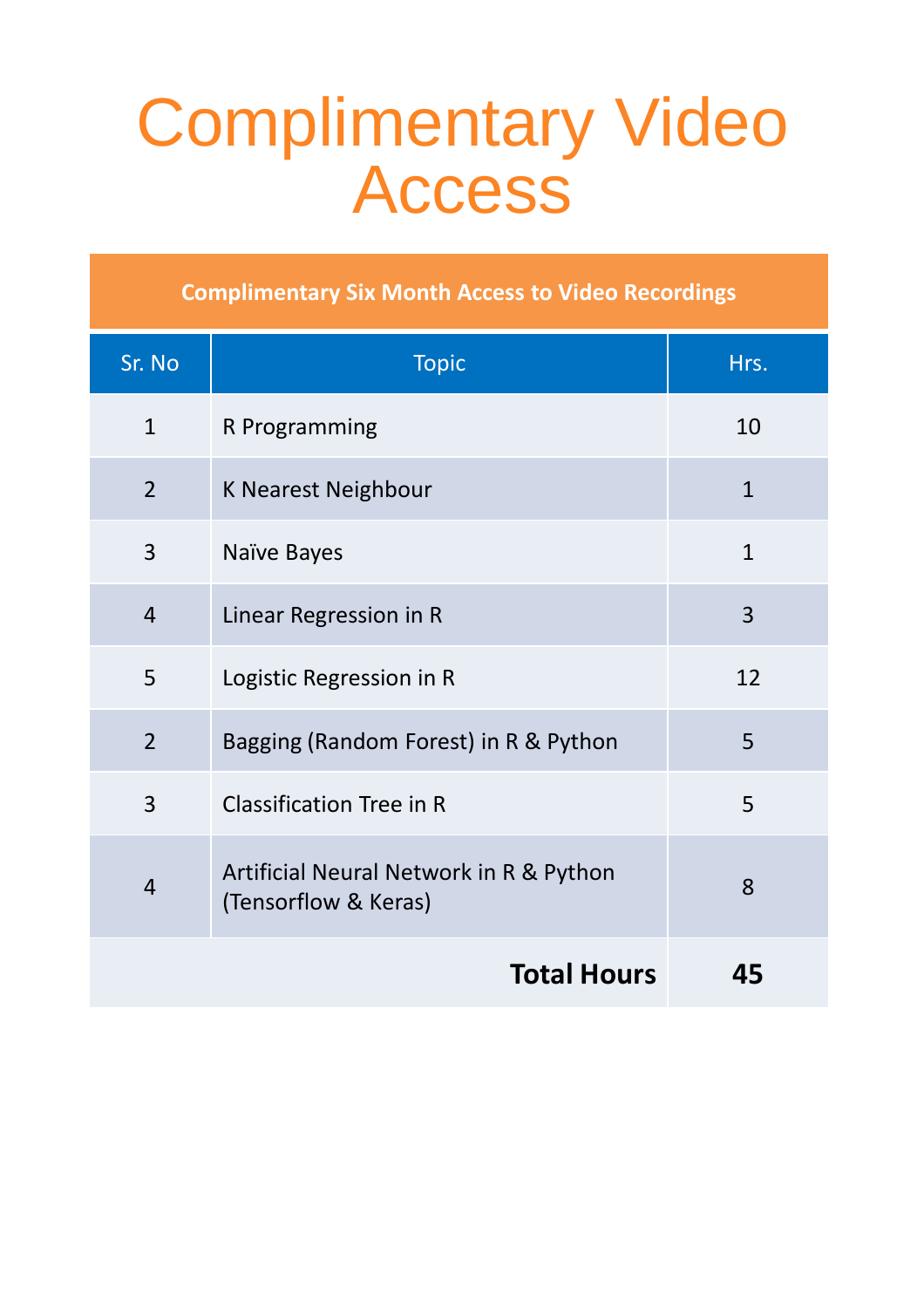## Complimentary Video Access

**Complimentary Six Month Access to Video Recordings**

| Sr. No             | <b>Topic</b>                                                    | Hrs.           |
|--------------------|-----------------------------------------------------------------|----------------|
| $\mathbf{1}$       | R Programming                                                   | 10             |
| $\overline{2}$     | <b>K Nearest Neighbour</b>                                      | $\mathbf{1}$   |
| 3                  | Naïve Bayes                                                     | $\mathbf{1}$   |
| $\overline{4}$     | Linear Regression in R                                          | $\overline{3}$ |
| 5                  | Logistic Regression in R                                        | 12             |
| $\overline{2}$     | Bagging (Random Forest) in R & Python                           | 5              |
| $\overline{3}$     | <b>Classification Tree in R</b>                                 | 5              |
| $\overline{4}$     | Artificial Neural Network in R & Python<br>(Tensorflow & Keras) | 8              |
| <b>Total Hours</b> |                                                                 | 45             |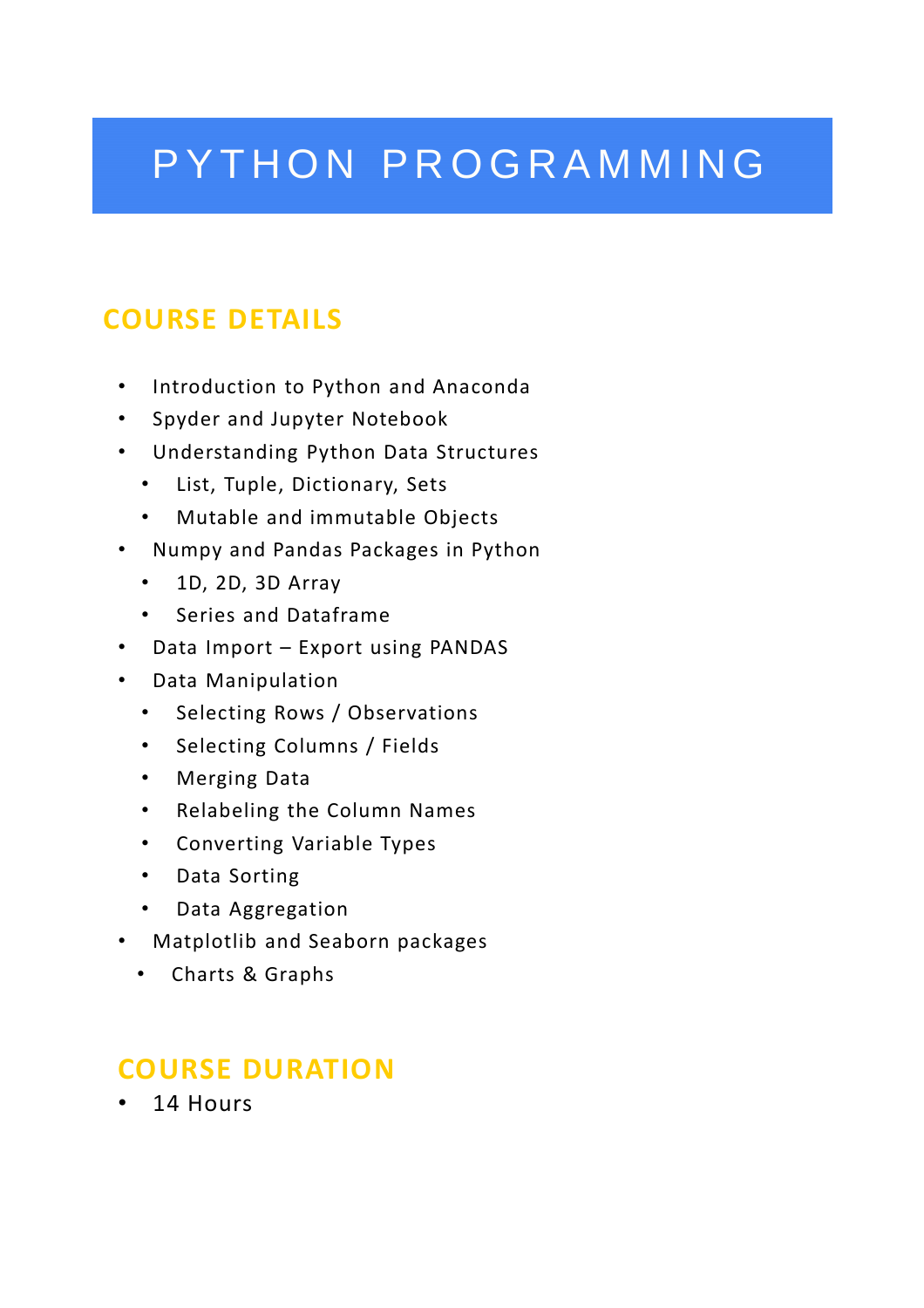### PYTHON PROGRAMMING

#### **COURSE DETAILS**

- Introduction to Python and Anaconda
- Spyder and Jupyter Notebook
- Understanding Python Data Structures
	- List, Tuple, Dictionary, Sets
	- Mutable and immutable Objects
- Numpy and Pandas Packages in Python
	- 1D, 2D, 3D Array
	- Series and Dataframe
- Data Import Export using PANDAS
- Data Manipulation
	- Selecting Rows / Observations
	- Selecting Columns / Fields
	- Merging Data
	- Relabeling the Column Names
	- Converting Variable Types
	- Data Sorting
	- Data Aggregation
- Matplotlib and Seaborn packages
	- Charts & Graphs

#### **COURSE DURATION**

• 14 Hours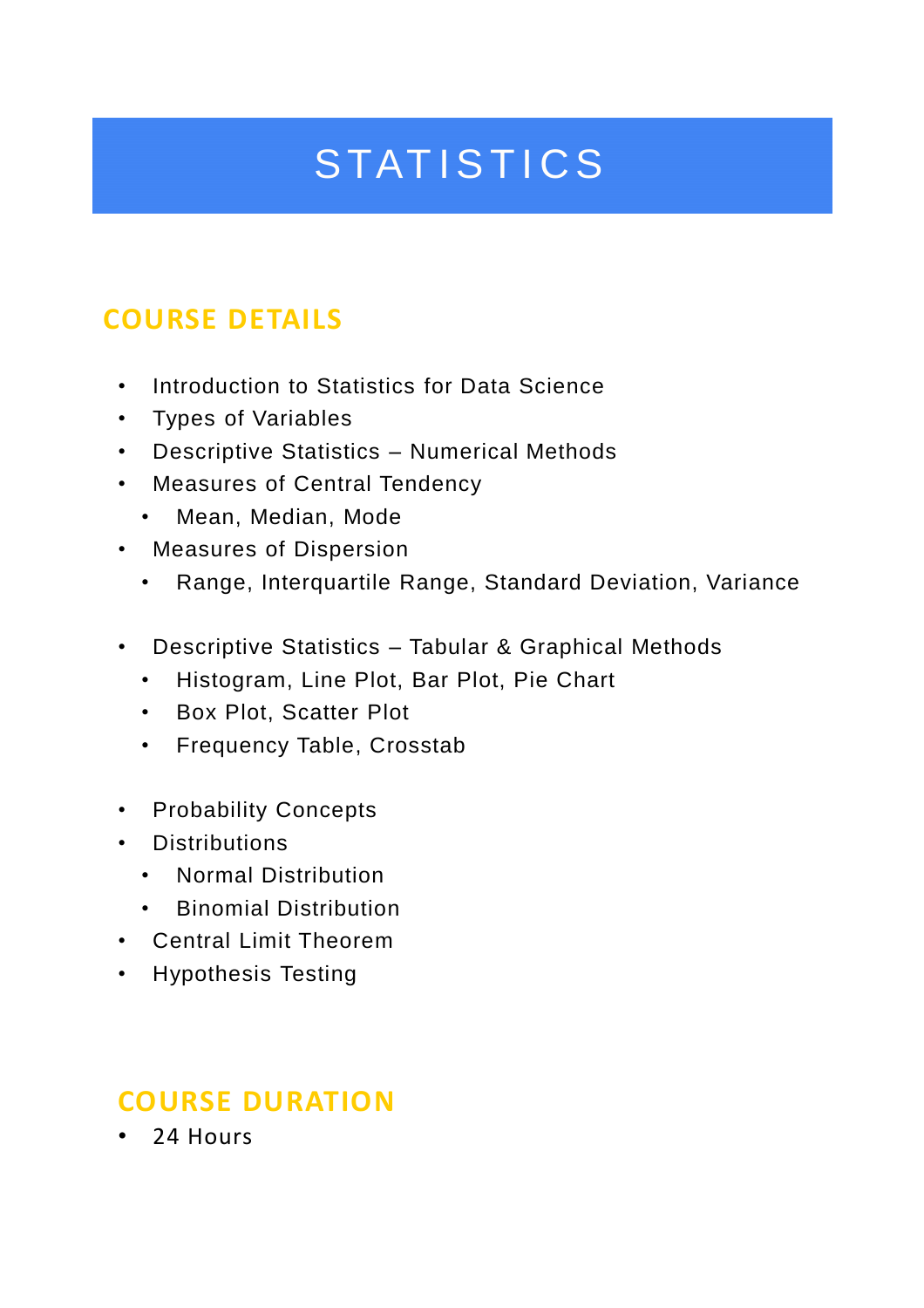### **STATISTICS**

#### **COURSE DETAILS**

- Introduction to Statistics for Data Science
- Types of Variables
- Descriptive Statistics Numerical Methods
- Measures of Central Tendency
	- Mean, Median, Mode
- Measures of Dispersion
	- Range, Interquartile Range, Standard Deviation, Variance
- Descriptive Statistics Tabular & Graphical Methods
	- Histogram, Line Plot, Bar Plot, Pie Chart
	- Box Plot, Scatter Plot
	- Frequency Table, Crosstab
- Probability Concepts
- Distributions
	- Normal Distribution
	- Binomial Distribution
- Central Limit Theorem
- Hypothesis Testing

#### **COURSE DURATION**

• 24 Hours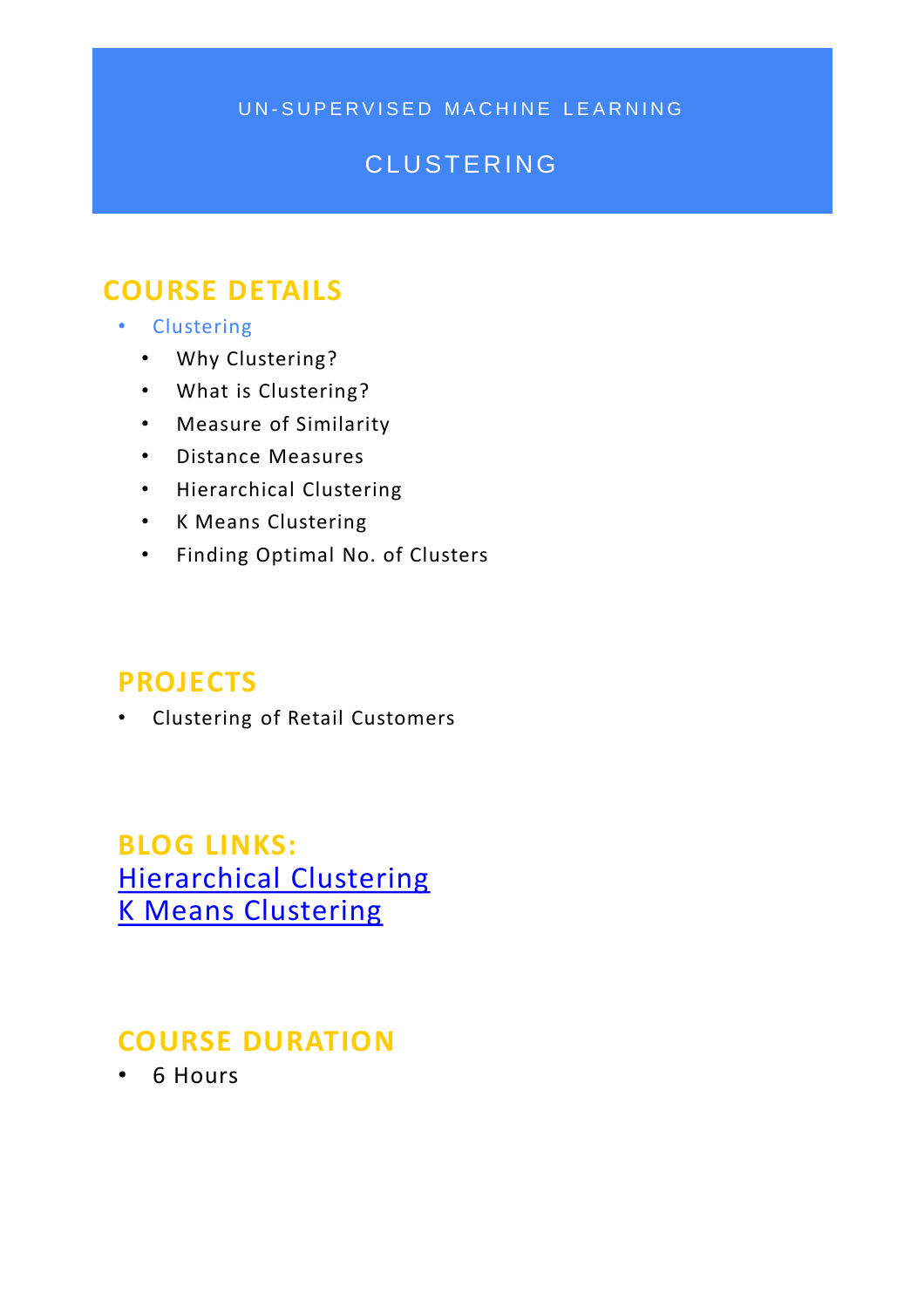UN-SUPERVISED MACHINE LEARNING

#### **CLUSTERING**

#### **COURSE DETAILS**

- Clustering
	- Why Clustering?
	- What is Clustering?
	- Measure of Similarity
	- Distance Measures
	- Hierarchical Clustering
	- K Means Clustering
	- Finding Optimal No. of Clusters

#### **PROJECTS**

• Clustering of Retail Customers

**BLOG LINKS:**  [Hierarchical Clustering](https://k2analytics.in/hierarchical-clustering-in-r/) [K Means Clustering](https://k2analytics.in/k-means-clustering-in-r/)

#### **COURSE DURATION**

• 6 Hours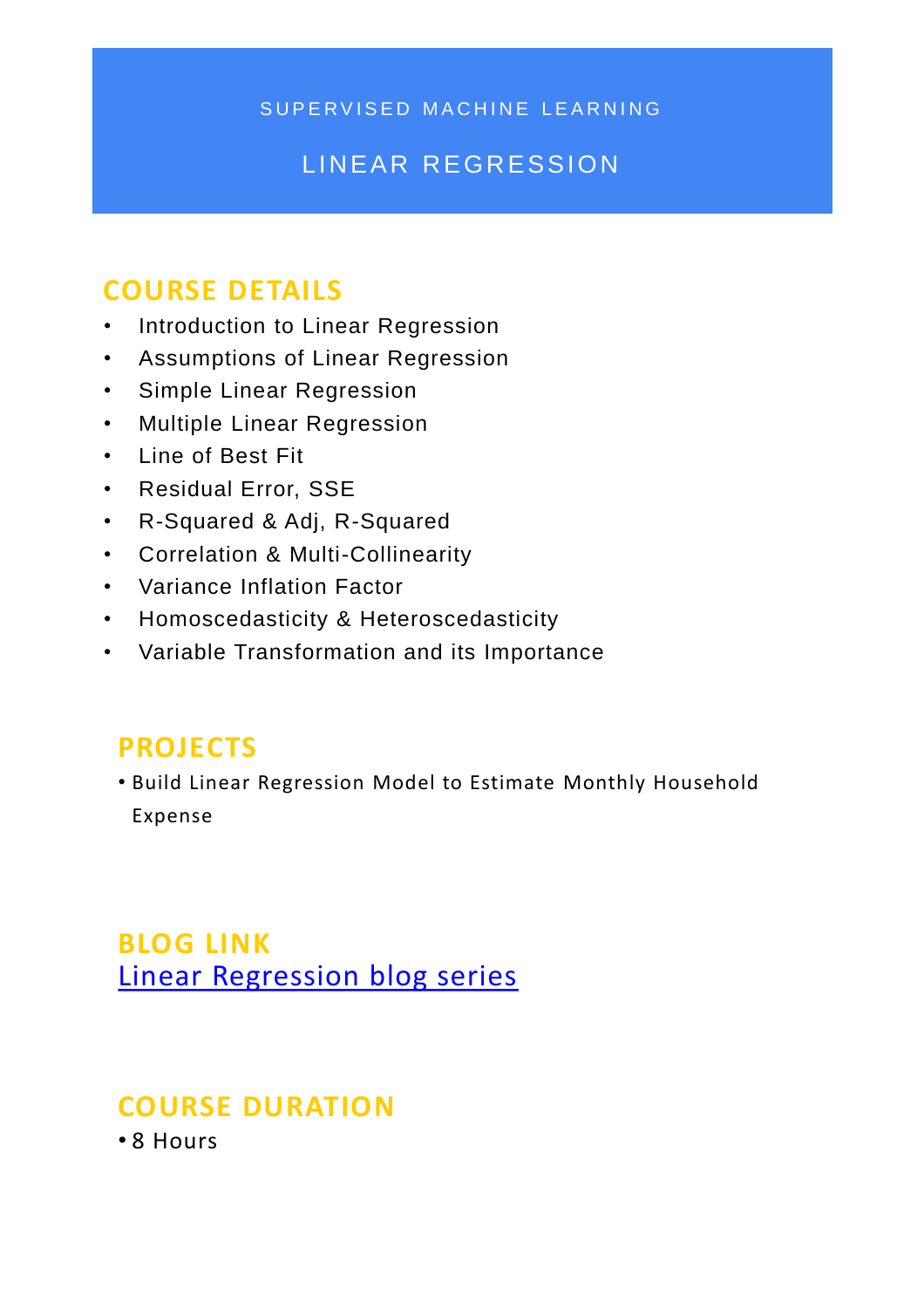SUPERVISED MACHINE LEARNING

#### LINEAR REGRESSION

#### **COURSE DETAILS**

- Introduction to Linear Regression
- Assumptions of Linear Regression
- Simple Linear Regression
- Multiple Linear Regression
- Line of Best Fit
- Residual Error, SSE
- R-Squared & Adj, R-Squared
- Correlation & Multi-Collinearity
- Variance Inflation Factor
- Homoscedasticity & Heteroscedasticity
- Variable Transformation and its Importance

#### **PROJECTS**

• Build Linear Regression Model to Estimate Monthly Household Expense

#### **BLOG LINK**  [Linear Regression blog series](https://k2analytics.in/linear-regression-blog-series/)

#### **COURSE DURATION**

• 8 Hours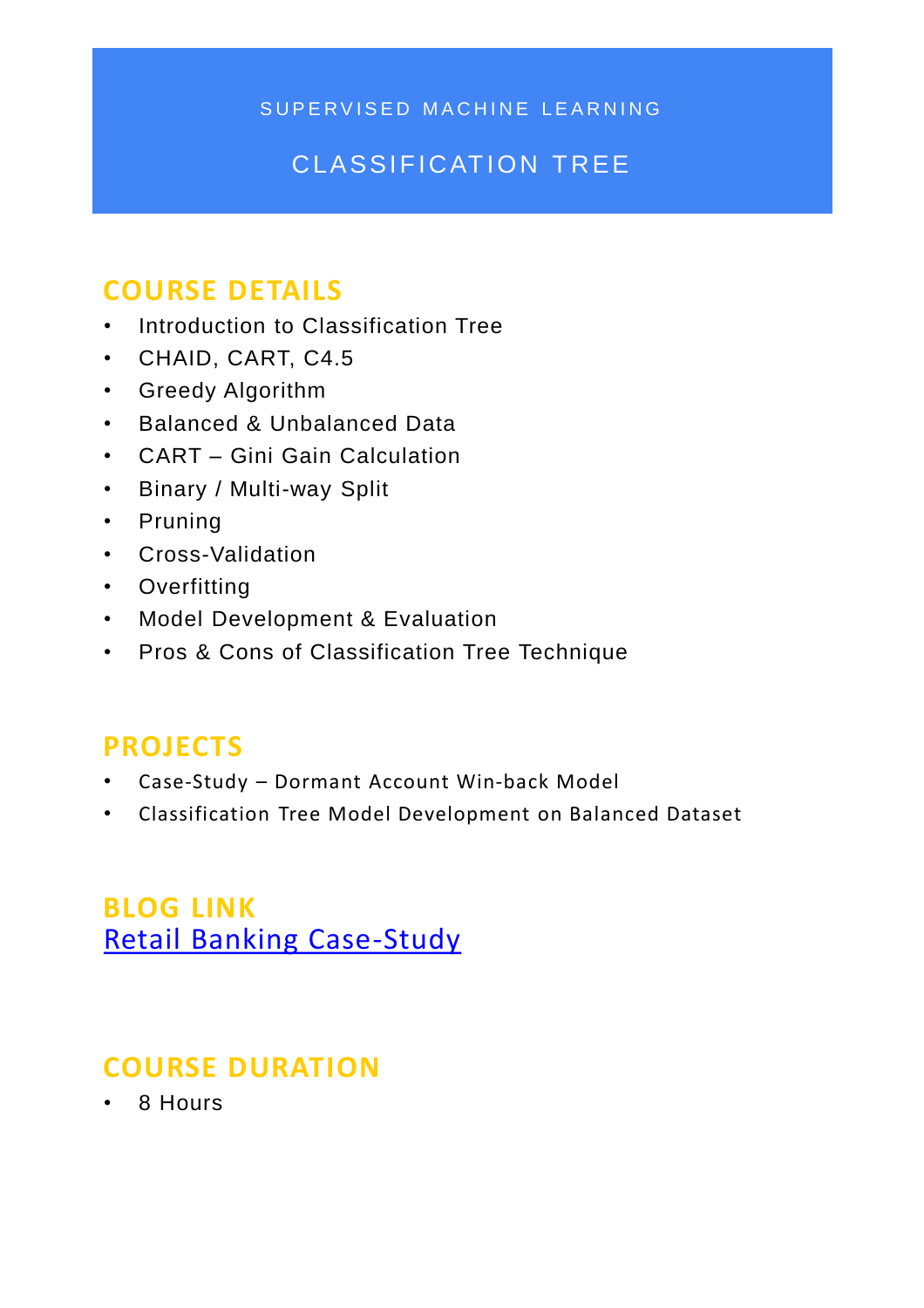SUPERVISED MACHINE LEARNING

#### CLASSIFICATION TREE

#### **COURSE DETAILS**

- Introduction to Classification Tree
- CHAID, CART, C4.5
- Greedy Algorithm
- Balanced & Unbalanced Data
- CART Gini Gain Calculation
- Binary / Multi-way Split
- Pruning
- Cross-Validation
- Overfitting
- Model Development & Evaluation
- Pros & Cons of Classification Tree Technique

#### **PROJECTS**

- Case-Study Dormant Account Win-back Model
- Classification Tree Model Development on Balanced Dataset

#### **BLOG LINK** [Retail Banking Case-Study](https://k2analytics.in/classification-tree-retail-banking-case-study/)

#### **COURSE DURATION**

• 8 Hours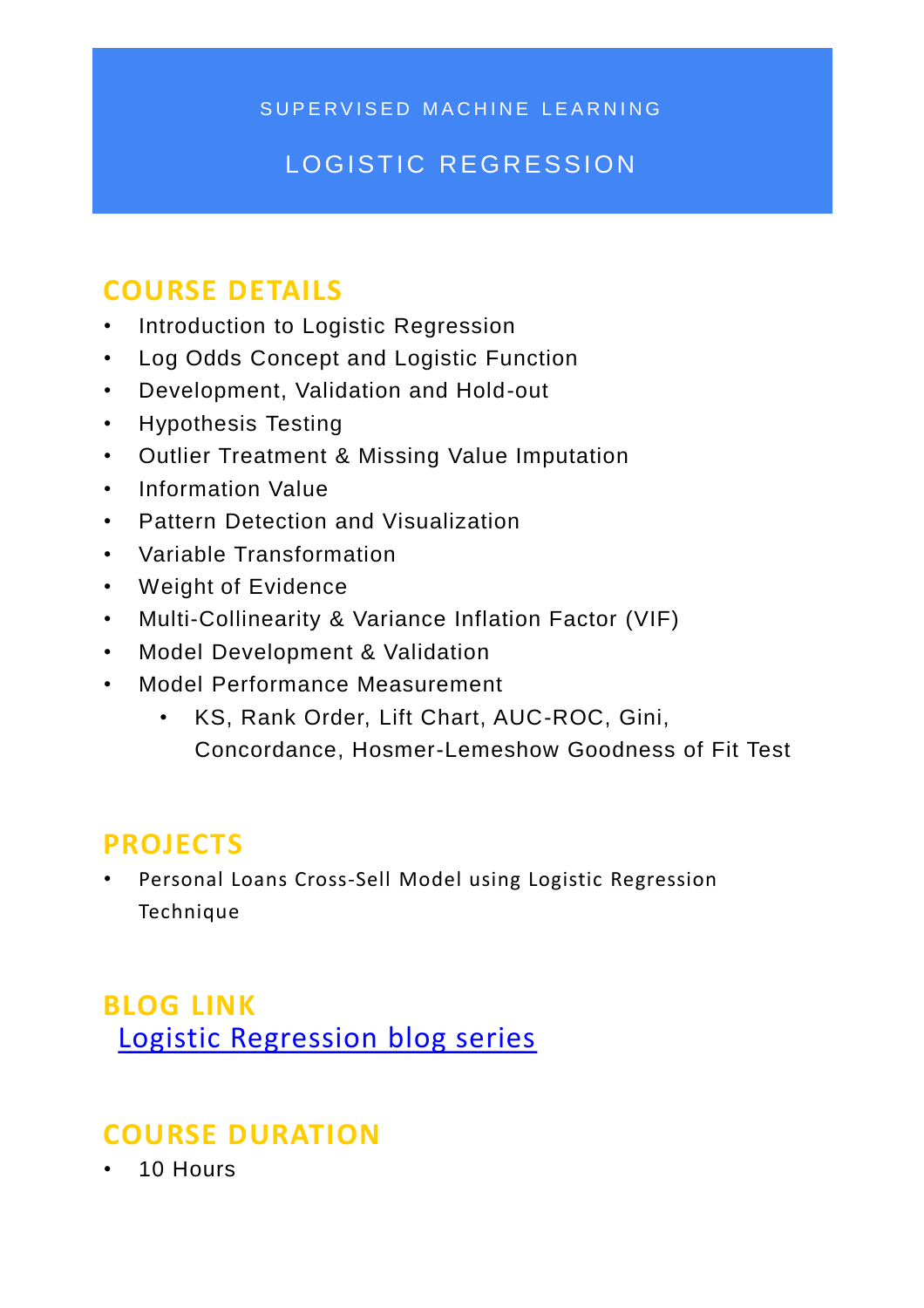SUPERVISED MACHINE LEARNING

#### LOGISTIC REGRESSION

#### **COURSE DETAILS**

- Introduction to Logistic Regression
- Log Odds Concept and Logistic Function
- Development, Validation and Hold-out
- Hypothesis Testing
- Outlier Treatment & Missing Value Imputation
- Information Value
- Pattern Detection and Visualization
- Variable Transformation
- Weight of Evidence
- Multi-Collinearity & Variance Inflation Factor (VIF)
- Model Development & Validation
- Model Performance Measurement
	- KS, Rank Order, Lift Chart, AUC-ROC, Gini, Concordance, Hosmer-Lemeshow Goodness of Fit Test

#### **PROJECTS**

Personal Loans Cross-Sell Model using Logistic Regression Technique

**BLOG LINK**  [Logistic Regression blog series](https://k2analytics.in/introduction-to-logistic-regression/)

#### **COURSE DURATION**

• 10 Hours